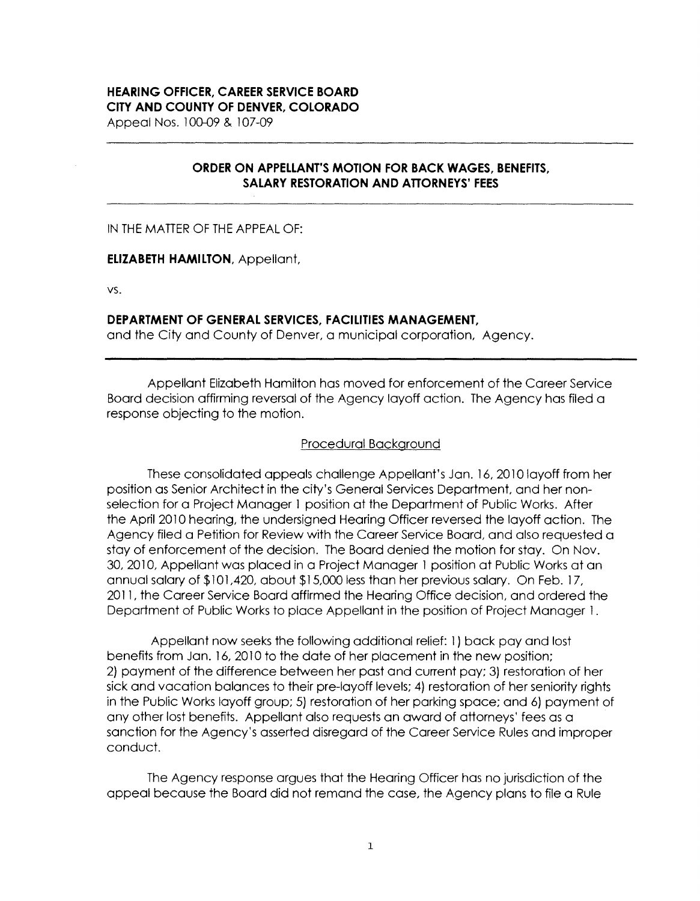### **HEARING OFFICER, CAREER SERVICE BOARD CITY AND COUNTY OF DENVER, COLORADO**

Appeal Nos. 100-09 & 107-09

# **ORDER ON APPELLANT'S MOTION FOR BACK WAGES, BENEFITS, SALARY RESTORATION AND ATTORNEYS' FEES**

IN THE MATTER OF THE APPEAL OF:

#### **ELIZABETH HAMILTON,** Appellant,

vs.

#### **DEPARTMENT OF GENERAL SERVICES, FACILITIES MANAGEMENT,**

and the City and County of Denver, a municipal corporation, Agency.

Appellant Elizabeth Hamilton has moved for enforcement of the Career Service Board decision affirming reversal of the Agency layoff action. The Agency has filed a response objecting to the motion.

### Procedural Background

These consolidated appeals challenge Appellant's Jan. 16, 2010 layoff from her position as Senior Architect in the city's General Services Department, and her nonselection for a Project Manager 1 position at the Department of Public Works. After the April 2010 hearing, the undersigned Hearing Officer reversed the layoff action. The Agency filed a Petition for Review with the Career Service Board, and also requested a stay of enforcement of the decision. The Board denied the motion for stay. On Nov. 30, 2010, Appellant was placed in a Project Manager 1 position at Public Works at an annual salary of \$101,420, about \$15,000 less than her previous salary. On Feb. 17, 2011, the Career Service Board affirmed the Hearing Office decision, and ordered the Department of Public Works to place Appellant in the position of Project Manager 1 .

Appellant now seeks the following additional relief: 1 ) back pay and lost benefits from Jan. 16, 2010 to the date of her placement in the new position; 2) payment of the difference between her past and current pay; 3) restoration of her sick and vacation balances to their pre-layoff levels; 4) restoration of her seniority rights in the Public Works layoff group; 5) restoration of her parking space; and 6) payment of any other lost benefits. Appellant also requests an award of attorneys' fees as a sanction for the Agency's asserted disregard of the Career Service Rules and improper conduct.

The Agency response argues that the Hearing Officer has no jurisdiction of the appeal because the Board did not remand the case, the Agency plans to file a Rule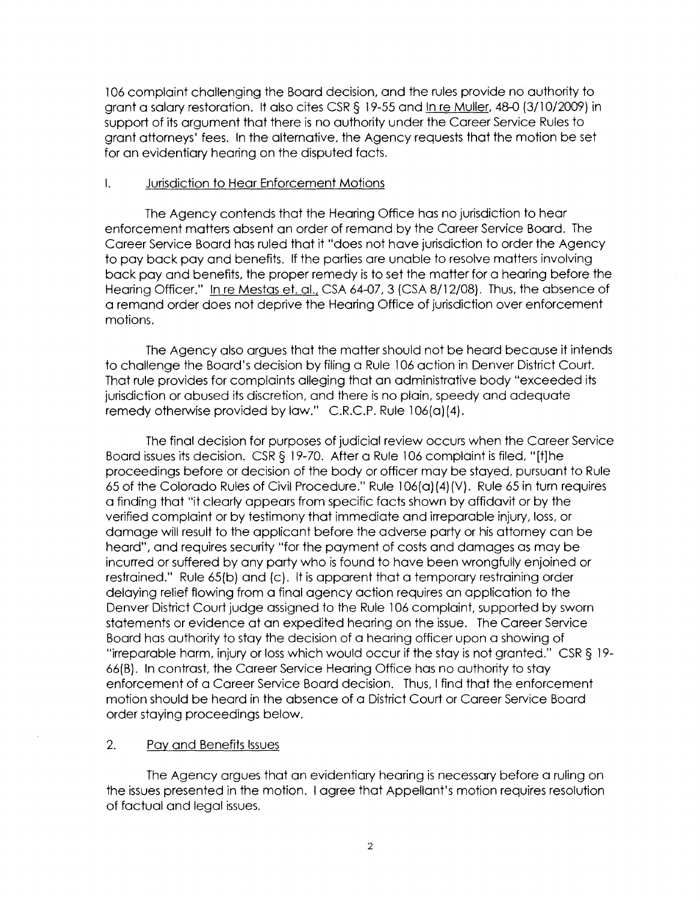106 complaint challenging the Board decision, and the rules provide no authority to grant a salary restoration. It also cites CSR § 19-55 and In re Muller, 48-0 (3/10/2009) in support of its argument that there is no authority under the Career Service Rules to grant attorneys' fees. In the alternative, the Agency requests that the motion be set for an evidentiary hearing on the disputed facts.

#### I. Jurisdiction to Hear Enforcement Motions

The Agency contends that the Hearing Office has no jurisdiction to hear enforcement matters absent an order of remand by the Career Service Board. The Career Service Board has ruled that it "does not have jurisdiction to order the Agency to pay back pay and benefits. If the parties are unable to resolve matters involving back pay and benefits, the proper remedy is to set the matter for a hearing before the Hearing Officer." In re Mestas et. al., CSA 64-07, 3 (CSA 8/12/08). Thus, the absence of a remand order does not deprive the Hearing Office of jurisdiction over enforcement motions.

The Agency also argues that the matter should not be heard because it intends to challenge the Board's decision by filing a Rule 106 action in Denver District Court. That rule provides for complaints alleging that an administrative body "exceeded its jurisdiction or abused its discretion, and there is no plain, speedy and adequate remedy otherwise provided by law." C.R.C.P. Rule 106(a)(4).

The final decision for purposes of judicial review occurs when the Career Service Board issues its decision. CSR§ 19-70. After a Rule 106 complaint is filed, "[t]he proceedings before or decision of the body or officer may be stayed, pursuant to Rule 65 of the Colorado Rules of Civil Procedure." Rule 106(a) (4)(V). Rule 65 in turn requires a finding that "it clearly appears from specific facts shown by affidavit or by the verified complaint or by testimony that immediate and irreparable injury, loss, or damage will result to the applicant before the adverse party or his attorney can be heard", and requires security "for the payment of costs and damages as may be incurred or suffered by any party who is found to have been wrongfully enjoined or restrained." Rule 65(b) and (c). It is apparent that a temporary restraining order delaying relief flowing from a final agency action requires an application to the Denver District Court judge assigned to the Rule l 06 complaint, supported by sworn statements or evidence at an expedited hearing on the issue. The Career Service Board has authority to stay the decision of a hearing officer upon a showing of "irreparable harm, injury or loss which would occur if the stay is not granted." CSR § 19- 66(8). In contrast, the Career Service Hearing Office has no authority to stay enforcement of a Career Service Board decision. Thus, I find that the enforcement motion should be heard in the absence of a District Court or Career Service Board order staying proceedings below.

## 2. Pay and Benefits Issues

The Agency argues that an evidentiary hearing is necessary before a ruling on the issues presented in the motion. I agree that Appellant's motion requires resolution of factual and legal issues.